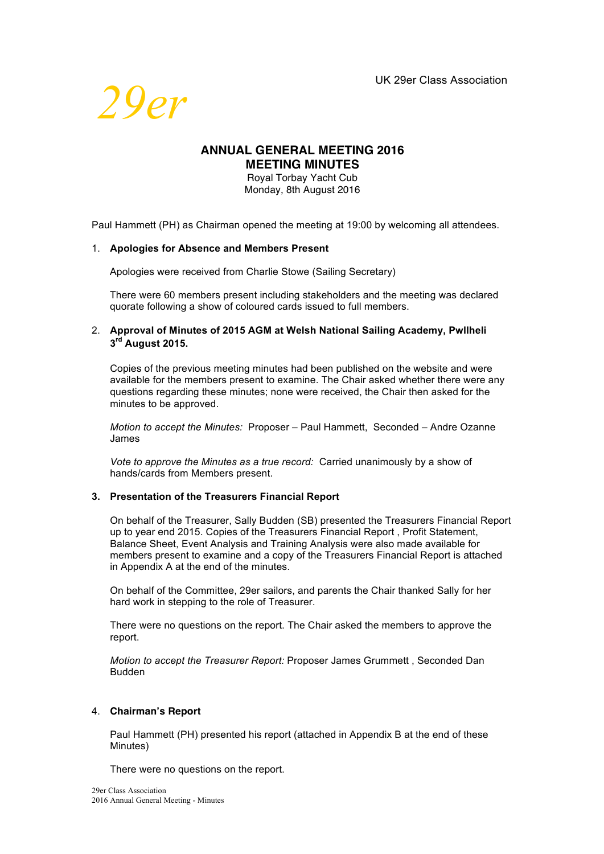

# **ANNUAL GENERAL MEETING 2016 MEETING MINUTES**

Royal Torbay Yacht Cub Monday, 8th August 2016

Paul Hammett (PH) as Chairman opened the meeting at 19:00 by welcoming all attendees.

### 1. **Apologies for Absence and Members Present**

Apologies were received from Charlie Stowe (Sailing Secretary)

There were 60 members present including stakeholders and the meeting was declared quorate following a show of coloured cards issued to full members.

# 2. **Approval of Minutes of 2015 AGM at Welsh National Sailing Academy, Pwllheli 3rd August 2015.**

Copies of the previous meeting minutes had been published on the website and were available for the members present to examine. The Chair asked whether there were any questions regarding these minutes; none were received, the Chair then asked for the minutes to be approved.

*Motion to accept the Minutes:* Proposer – Paul Hammett, Seconded – Andre Ozanne James

*Vote to approve the Minutes as a true record:* Carried unanimously by a show of hands/cards from Members present.

# **3. Presentation of the Treasurers Financial Report**

On behalf of the Treasurer, Sally Budden (SB) presented the Treasurers Financial Report up to year end 2015. Copies of the Treasurers Financial Report , Profit Statement, Balance Sheet, Event Analysis and Training Analysis were also made available for members present to examine and a copy of the Treasurers Financial Report is attached in Appendix A at the end of the minutes.

On behalf of the Committee, 29er sailors, and parents the Chair thanked Sally for her hard work in stepping to the role of Treasurer.

There were no questions on the report. The Chair asked the members to approve the report.

*Motion to accept the Treasurer Report:* Proposer James Grummett , Seconded Dan Budden

# 4. **Chairman's Report**

Paul Hammett (PH) presented his report (attached in Appendix B at the end of these Minutes)

There were no questions on the report.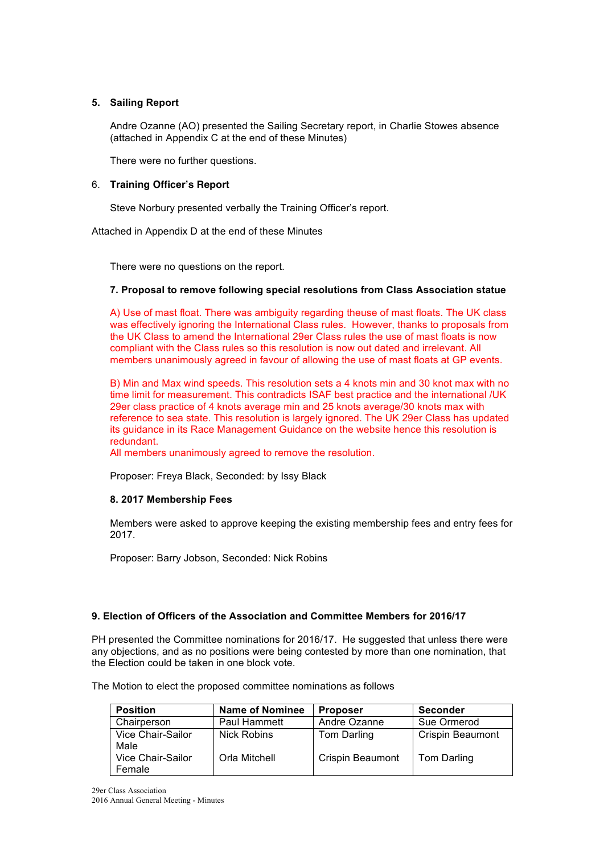# **5. Sailing Report**

Andre Ozanne (AO) presented the Sailing Secretary report, in Charlie Stowes absence (attached in Appendix C at the end of these Minutes)

There were no further questions.

#### 6. **Training Officer's Report**

Steve Norbury presented verbally the Training Officer's report.

Attached in Appendix D at the end of these Minutes

There were no questions on the report.

#### **7. Proposal to remove following special resolutions from Class Association statue**

A) Use of mast float. There was ambiguity regarding theuse of mast floats. The UK class was effectively ignoring the International Class rules. However, thanks to proposals from the UK Class to amend the International 29er Class rules the use of mast floats is now compliant with the Class rules so this resolution is now out dated and irrelevant. All members unanimously agreed in favour of allowing the use of mast floats at GP events.

B) Min and Max wind speeds. This resolution sets a 4 knots min and 30 knot max with no time limit for measurement. This contradicts ISAF best practice and the international /UK 29er class practice of 4 knots average min and 25 knots average/30 knots max with reference to sea state. This resolution is largely ignored. The UK 29er Class has updated its guidance in its Race Management Guidance on the website hence this resolution is redundant.

All members unanimously agreed to remove the resolution.

Proposer: Freya Black, Seconded: by Issy Black

#### **8. 2017 Membership Fees**

Members were asked to approve keeping the existing membership fees and entry fees for 2017.

Proposer: Barry Jobson, Seconded: Nick Robins

#### **9. Election of Officers of the Association and Committee Members for 2016/17**

PH presented the Committee nominations for 2016/17. He suggested that unless there were any objections, and as no positions were being contested by more than one nomination, that the Election could be taken in one block vote.

The Motion to elect the proposed committee nominations as follows

| <b>Position</b>             | <b>Name of Nominee</b> | <b>Proposer</b>         | <b>Seconder</b>         |
|-----------------------------|------------------------|-------------------------|-------------------------|
| Chairperson                 | <b>Paul Hammett</b>    | Andre Ozanne            | Sue Ormerod             |
| Vice Chair-Sailor<br>Male   | <b>Nick Robins</b>     | Tom Darling             | <b>Crispin Beaumont</b> |
| Vice Chair-Sailor<br>Female | Orla Mitchell          | <b>Crispin Beaumont</b> | Tom Darling             |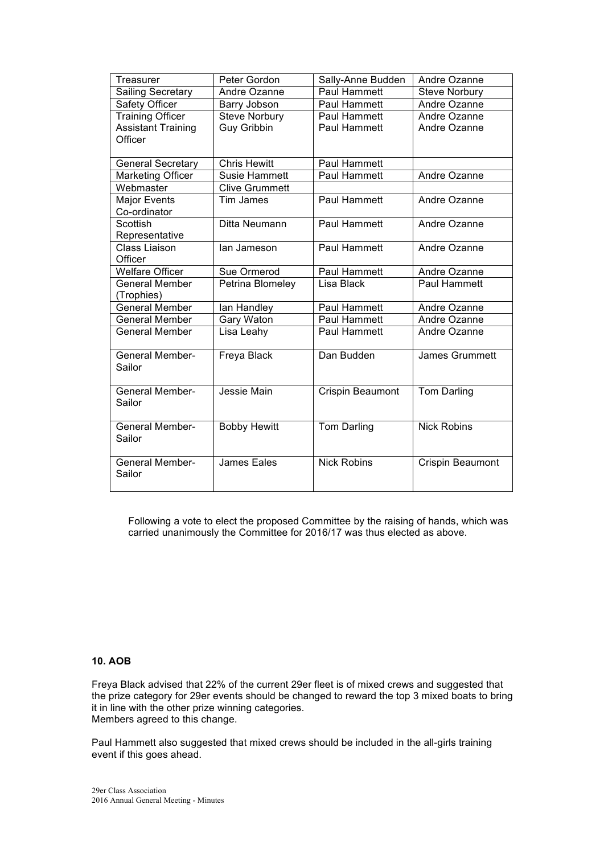| Treasurer                 | Peter Gordon          | Sally-Anne Budden   | Andre Ozanne            |
|---------------------------|-----------------------|---------------------|-------------------------|
| <b>Sailing Secretary</b>  | Andre Ozanne          | Paul Hammett        | <b>Steve Norbury</b>    |
| Safety Officer            | Barry Jobson          | Paul Hammett        | Andre Ozanne            |
| <b>Training Officer</b>   | <b>Steve Norbury</b>  | Paul Hammett        | Andre Ozanne            |
| <b>Assistant Training</b> | <b>Guy Gribbin</b>    | Paul Hammett        | Andre Ozanne            |
| Officer                   |                       |                     |                         |
|                           |                       |                     |                         |
| <b>General Secretary</b>  | <b>Chris Hewitt</b>   | Paul Hammett        |                         |
| <b>Marketing Officer</b>  | Susie Hammett         | <b>Paul Hammett</b> | Andre Ozanne            |
| Webmaster                 | <b>Clive Grummett</b> |                     |                         |
| <b>Major Events</b>       | Tim James             | Paul Hammett        | Andre Ozanne            |
| Co-ordinator              |                       |                     |                         |
| Scottish                  | Ditta Neumann         | <b>Paul Hammett</b> | Andre Ozanne            |
| Representative            |                       |                     |                         |
| <b>Class Liaison</b>      | lan Jameson           | Paul Hammett        | Andre Ozanne            |
| Officer                   |                       |                     |                         |
| <b>Welfare Officer</b>    | Sue Ormerod           | Paul Hammett        | Andre Ozanne            |
| <b>General Member</b>     | Petrina Blomeley      | Lisa Black          | Paul Hammett            |
| (Trophies)                |                       |                     |                         |
| <b>General Member</b>     | lan Handley           | Paul Hammett        | Andre Ozanne            |
| <b>General Member</b>     | Gary Waton            | Paul Hammett        | Andre Ozanne            |
| <b>General Member</b>     | Lisa Leahy            | Paul Hammett        | Andre Ozanne            |
| <b>General Member-</b>    | Freya Black           | Dan Budden          | <b>James Grummett</b>   |
| Sailor                    |                       |                     |                         |
|                           |                       |                     |                         |
| <b>General Member-</b>    | Jessie Main           | Crispin Beaumont    | Tom Darling             |
| Sailor                    |                       |                     |                         |
|                           |                       |                     |                         |
| <b>General Member-</b>    | <b>Bobby Hewitt</b>   | <b>Tom Darling</b>  | <b>Nick Robins</b>      |
| Sailor                    |                       |                     |                         |
|                           |                       |                     |                         |
| <b>General Member-</b>    | <b>James Eales</b>    | <b>Nick Robins</b>  | <b>Crispin Beaumont</b> |
| Sailor                    |                       |                     |                         |
|                           |                       |                     |                         |

Following a vote to elect the proposed Committee by the raising of hands, which was carried unanimously the Committee for 2016/17 was thus elected as above.

# **10. AOB**

Freya Black advised that 22% of the current 29er fleet is of mixed crews and suggested that the prize category for 29er events should be changed to reward the top 3 mixed boats to bring it in line with the other prize winning categories. Members agreed to this change.

Paul Hammett also suggested that mixed crews should be included in the all-girls training event if this goes ahead.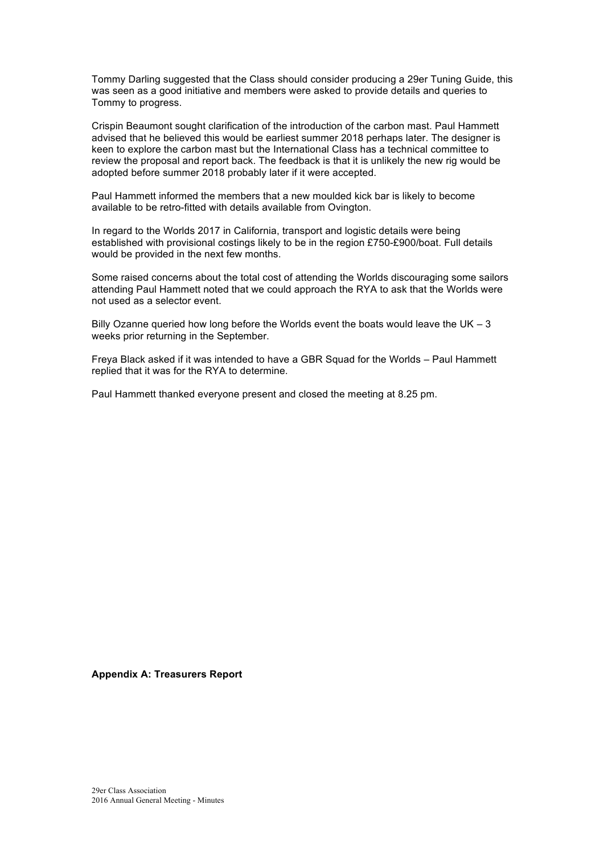Tommy Darling suggested that the Class should consider producing a 29er Tuning Guide, this was seen as a good initiative and members were asked to provide details and queries to Tommy to progress.

Crispin Beaumont sought clarification of the introduction of the carbon mast. Paul Hammett advised that he believed this would be earliest summer 2018 perhaps later. The designer is keen to explore the carbon mast but the International Class has a technical committee to review the proposal and report back. The feedback is that it is unlikely the new rig would be adopted before summer 2018 probably later if it were accepted.

Paul Hammett informed the members that a new moulded kick bar is likely to become available to be retro-fitted with details available from Ovington.

In regard to the Worlds 2017 in California, transport and logistic details were being established with provisional costings likely to be in the region £750-£900/boat. Full details would be provided in the next few months.

Some raised concerns about the total cost of attending the Worlds discouraging some sailors attending Paul Hammett noted that we could approach the RYA to ask that the Worlds were not used as a selector event.

Billy Ozanne queried how long before the Worlds event the boats would leave the UK  $-3$ weeks prior returning in the September.

Freya Black asked if it was intended to have a GBR Squad for the Worlds – Paul Hammett replied that it was for the RYA to determine.

Paul Hammett thanked everyone present and closed the meeting at 8.25 pm.

**Appendix A: Treasurers Report**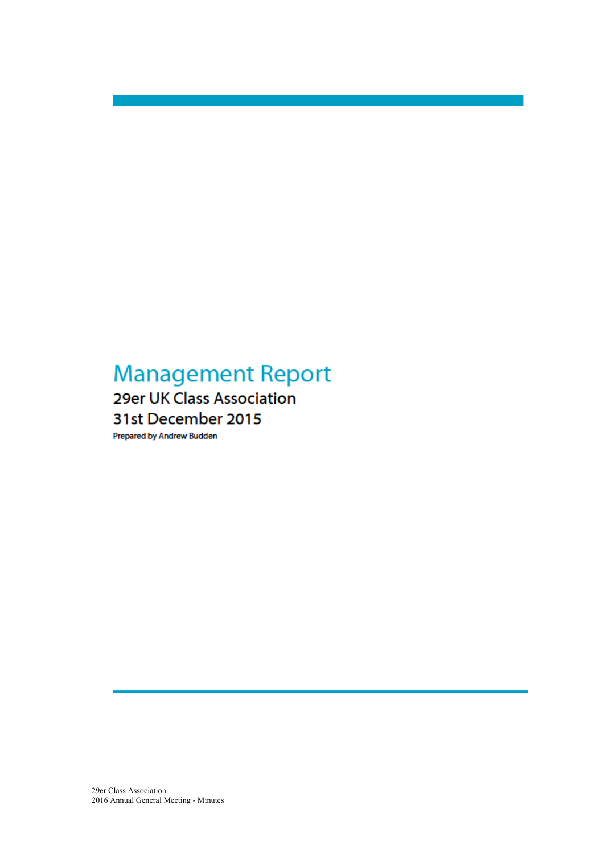# **Management Report**

# 29er UK Class Association 31st December 2015

Prepared by Andrew Budden

29er Class Association 2016 Annual General Meeting - Minutes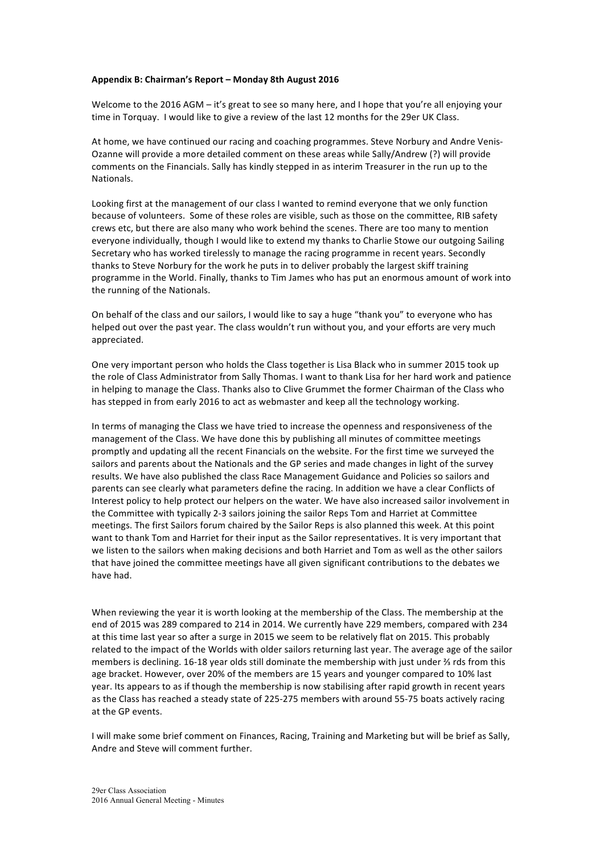#### Appendix B: Chairman's Report - Monday 8th August 2016

Welcome to the 2016 AGM – it's great to see so many here, and I hope that you're all enjoying your time in Torquay. I would like to give a review of the last 12 months for the 29er UK Class.

At home, we have continued our racing and coaching programmes. Steve Norbury and Andre Venis-Ozanne will provide a more detailed comment on these areas while Sally/Andrew (?) will provide comments on the Financials. Sally has kindly stepped in as interim Treasurer in the run up to the **Nationals** 

Looking first at the management of our class I wanted to remind everyone that we only function because of volunteers. Some of these roles are visible, such as those on the committee, RIB safety crews etc, but there are also many who work behind the scenes. There are too many to mention everyone individually, though I would like to extend my thanks to Charlie Stowe our outgoing Sailing Secretary who has worked tirelessly to manage the racing programme in recent years. Secondly thanks to Steve Norbury for the work he puts in to deliver probably the largest skiff training programme in the World. Finally, thanks to Tim James who has put an enormous amount of work into the running of the Nationals.

On behalf of the class and our sailors, I would like to say a huge "thank you" to everyone who has helped out over the past year. The class wouldn't run without you, and your efforts are very much appreciated.

One very important person who holds the Class together is Lisa Black who in summer 2015 took up the role of Class Administrator from Sally Thomas. I want to thank Lisa for her hard work and patience in helping to manage the Class. Thanks also to Clive Grummet the former Chairman of the Class who has stepped in from early 2016 to act as webmaster and keep all the technology working.

In terms of managing the Class we have tried to increase the openness and responsiveness of the management of the Class. We have done this by publishing all minutes of committee meetings promptly and updating all the recent Financials on the website. For the first time we surveyed the sailors and parents about the Nationals and the GP series and made changes in light of the survey results. We have also published the class Race Management Guidance and Policies so sailors and parents can see clearly what parameters define the racing. In addition we have a clear Conflicts of Interest policy to help protect our helpers on the water. We have also increased sailor involvement in the Committee with typically 2-3 sailors joining the sailor Reps Tom and Harriet at Committee meetings. The first Sailors forum chaired by the Sailor Reps is also planned this week. At this point want to thank Tom and Harriet for their input as the Sailor representatives. It is very important that we listen to the sailors when making decisions and both Harriet and Tom as well as the other sailors that have joined the committee meetings have all given significant contributions to the debates we have had.

When reviewing the year it is worth looking at the membership of the Class. The membership at the end of 2015 was 289 compared to 214 in 2014. We currently have 229 members, compared with 234 at this time last year so after a surge in 2015 we seem to be relatively flat on 2015. This probably related to the impact of the Worlds with older sailors returning last year. The average age of the sailor members is declining. 16-18 year olds still dominate the membership with just under  $\frac{2}{3}$  rds from this age bracket. However, over 20% of the members are 15 years and younger compared to 10% last year. Its appears to as if though the membership is now stabilising after rapid growth in recent years as the Class has reached a steady state of 225-275 members with around 55-75 boats actively racing at the GP events.

I will make some brief comment on Finances, Racing, Training and Marketing but will be brief as Sally, Andre and Steve will comment further.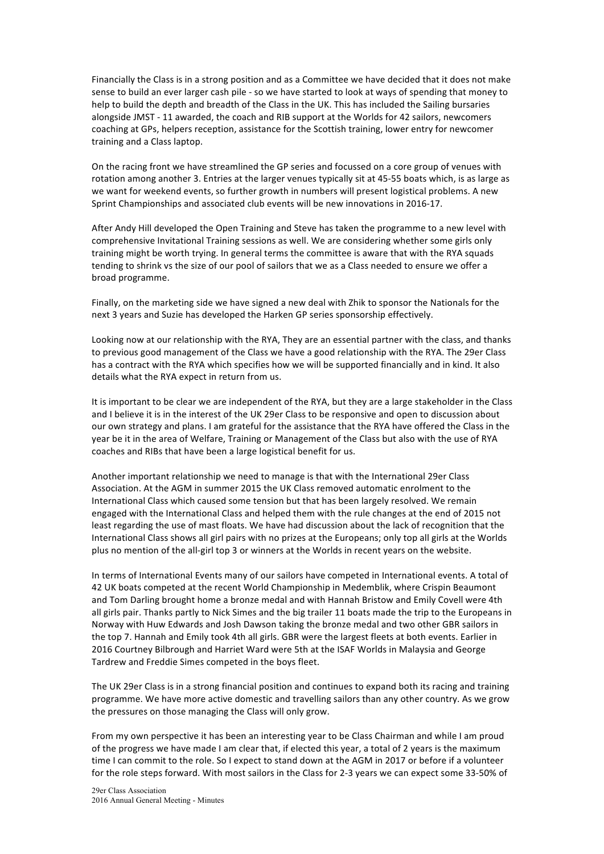Financially the Class is in a strong position and as a Committee we have decided that it does not make sense to build an ever larger cash pile - so we have started to look at ways of spending that money to help to build the depth and breadth of the Class in the UK. This has included the Sailing bursaries alongside JMST - 11 awarded, the coach and RIB support at the Worlds for 42 sailors, newcomers coaching at GPs, helpers reception, assistance for the Scottish training, lower entry for newcomer training and a Class laptop.

On the racing front we have streamlined the GP series and focussed on a core group of venues with rotation among another 3. Entries at the larger venues typically sit at 45-55 boats which, is as large as we want for weekend events, so further growth in numbers will present logistical problems. A new Sprint Championships and associated club events will be new innovations in 2016-17.

After Andy Hill developed the Open Training and Steve has taken the programme to a new level with comprehensive Invitational Training sessions as well. We are considering whether some girls only training might be worth trying. In general terms the committee is aware that with the RYA squads tending to shrink vs the size of our pool of sailors that we as a Class needed to ensure we offer a broad programme. 

Finally, on the marketing side we have signed a new deal with Zhik to sponsor the Nationals for the next 3 years and Suzie has developed the Harken GP series sponsorship effectively.

Looking now at our relationship with the RYA, They are an essential partner with the class, and thanks to previous good management of the Class we have a good relationship with the RYA. The 29er Class has a contract with the RYA which specifies how we will be supported financially and in kind. It also details what the RYA expect in return from us.

It is important to be clear we are independent of the RYA, but they are a large stakeholder in the Class and I believe it is in the interest of the UK 29er Class to be responsive and open to discussion about our own strategy and plans. I am grateful for the assistance that the RYA have offered the Class in the year be it in the area of Welfare, Training or Management of the Class but also with the use of RYA coaches and RIBs that have been a large logistical benefit for us.

Another important relationship we need to manage is that with the International 29er Class Association. At the AGM in summer 2015 the UK Class removed automatic enrolment to the International Class which caused some tension but that has been largely resolved. We remain engaged with the International Class and helped them with the rule changes at the end of 2015 not least regarding the use of mast floats. We have had discussion about the lack of recognition that the International Class shows all girl pairs with no prizes at the Europeans; only top all girls at the Worlds plus no mention of the all-girl top 3 or winners at the Worlds in recent years on the website.

In terms of International Events many of our sailors have competed in International events. A total of 42 UK boats competed at the recent World Championship in Medemblik, where Crispin Beaumont and Tom Darling brought home a bronze medal and with Hannah Bristow and Emily Covell were 4th all girls pair. Thanks partly to Nick Simes and the big trailer 11 boats made the trip to the Europeans in Norway with Huw Edwards and Josh Dawson taking the bronze medal and two other GBR sailors in the top 7. Hannah and Emily took 4th all girls. GBR were the largest fleets at both events. Earlier in 2016 Courtney Bilbrough and Harriet Ward were 5th at the ISAF Worlds in Malaysia and George Tardrew and Freddie Simes competed in the boys fleet.

The UK 29er Class is in a strong financial position and continues to expand both its racing and training programme. We have more active domestic and travelling sailors than any other country. As we grow the pressures on those managing the Class will only grow.

From my own perspective it has been an interesting year to be Class Chairman and while I am proud of the progress we have made I am clear that, if elected this year, a total of 2 years is the maximum time I can commit to the role. So I expect to stand down at the AGM in 2017 or before if a volunteer for the role steps forward. With most sailors in the Class for 2-3 years we can expect some 33-50% of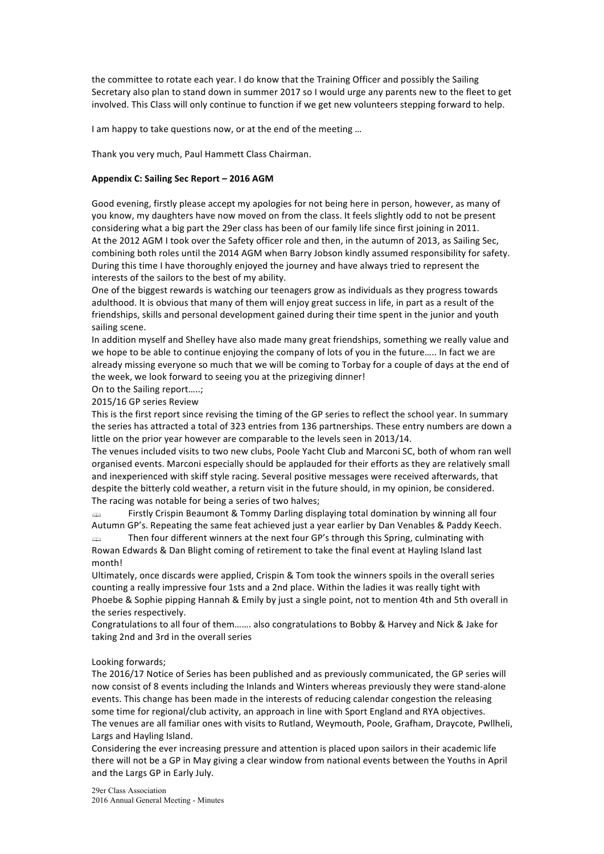the committee to rotate each year. I do know that the Training Officer and possibly the Sailing Secretary also plan to stand down in summer 2017 so I would urge any parents new to the fleet to get involved. This Class will only continue to function if we get new volunteers stepping forward to help.

I am happy to take questions now, or at the end of the meeting ...

Thank you very much, Paul Hammett Class Chairman.

#### **Appendix C: Sailing Sec Report – 2016 AGM**

Good evening, firstly please accept my apologies for not being here in person, however, as many of you know, my daughters have now moved on from the class. It feels slightly odd to not be present considering what a big part the 29er class has been of our family life since first joining in 2011. At the 2012 AGM I took over the Safety officer role and then, in the autumn of 2013, as Sailing Sec, combining both roles until the 2014 AGM when Barry Jobson kindly assumed responsibility for safety. During this time I have thoroughly enjoyed the journey and have always tried to represent the interests of the sailors to the best of my ability.

One of the biggest rewards is watching our teenagers grow as individuals as they progress towards adulthood. It is obvious that many of them will enjoy great success in life, in part as a result of the friendships, skills and personal development gained during their time spent in the junior and youth sailing scene.

In addition myself and Shelley have also made many great friendships, something we really value and we hope to be able to continue enjoying the company of lots of you in the future….. In fact we are already missing everyone so much that we will be coming to Torbay for a couple of days at the end of the week, we look forward to seeing you at the prizegiving dinner!

On to the Sailing report.....;

2015/16 GP series Review

This is the first report since revising the timing of the GP series to reflect the school year. In summary the series has attracted a total of 323 entries from 136 partnerships. These entry numbers are down a little on the prior year however are comparable to the levels seen in 2013/14.

The venues included visits to two new clubs, Poole Yacht Club and Marconi SC, both of whom ran well organised events. Marconi especially should be applauded for their efforts as they are relatively small and inexperienced with skiff style racing. Several positive messages were received afterwards, that despite the bitterly cold weather, a return visit in the future should, in my opinion, be considered. The racing was notable for being a series of two halves;

 $\Rightarrow$  Firstly Crispin Beaumont & Tommy Darling displaying total domination by winning all four Autumn GP's. Repeating the same feat achieved just a year earlier by Dan Venables & Paddy Keech.

 $\Rightarrow$  Then four different winners at the next four GP's through this Spring, culminating with Rowan Edwards & Dan Blight coming of retirement to take the final event at Hayling Island last month!

Ultimately, once discards were applied, Crispin & Tom took the winners spoils in the overall series counting a really impressive four 1sts and a 2nd place. Within the ladies it was really tight with Phoebe & Sophie pipping Hannah & Emily by just a single point, not to mention 4th and 5th overall in the series respectively.

Congratulations to all four of them....... also congratulations to Bobby & Harvey and Nick & Jake for taking 2nd and 3rd in the overall series

#### Looking forwards;

The 2016/17 Notice of Series has been published and as previously communicated, the GP series will now consist of 8 events including the Inlands and Winters whereas previously they were stand-alone events. This change has been made in the interests of reducing calendar congestion the releasing some time for regional/club activity, an approach in line with Sport England and RYA objectives. The venues are all familiar ones with visits to Rutland, Weymouth, Poole, Grafham, Draycote, Pwllheli, Largs and Hayling Island.

Considering the ever increasing pressure and attention is placed upon sailors in their academic life there will not be a GP in May giving a clear window from national events between the Youths in April and the Largs GP in Early July.

29er Class Association 2016 Annual General Meeting - Minutes